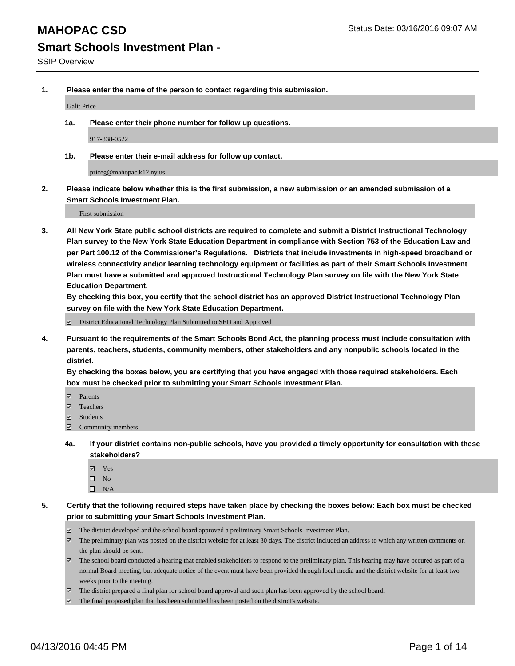**1. Please enter the name of the person to contact regarding this submission.**

Galit Price

**1a. Please enter their phone number for follow up questions.**

917-838-0522

**1b. Please enter their e-mail address for follow up contact.**

priceg@mahopac.k12.ny.us

**2. Please indicate below whether this is the first submission, a new submission or an amended submission of a Smart Schools Investment Plan.**

First submission

**3. All New York State public school districts are required to complete and submit a District Instructional Technology Plan survey to the New York State Education Department in compliance with Section 753 of the Education Law and per Part 100.12 of the Commissioner's Regulations. Districts that include investments in high-speed broadband or wireless connectivity and/or learning technology equipment or facilities as part of their Smart Schools Investment Plan must have a submitted and approved Instructional Technology Plan survey on file with the New York State Education Department.** 

**By checking this box, you certify that the school district has an approved District Instructional Technology Plan survey on file with the New York State Education Department.**

■ District Educational Technology Plan Submitted to SED and Approved

**4. Pursuant to the requirements of the Smart Schools Bond Act, the planning process must include consultation with parents, teachers, students, community members, other stakeholders and any nonpublic schools located in the district.** 

**By checking the boxes below, you are certifying that you have engaged with those required stakeholders. Each box must be checked prior to submitting your Smart Schools Investment Plan.**

- **Parents**
- □ Teachers
- Students
- $\boxdot$  Community members
- **4a. If your district contains non-public schools, have you provided a timely opportunity for consultation with these stakeholders?**
	- Yes
	- $\square$  No
	- $\Box$  N/A
- **5. Certify that the following required steps have taken place by checking the boxes below: Each box must be checked prior to submitting your Smart Schools Investment Plan.**
	- The district developed and the school board approved a preliminary Smart Schools Investment Plan.
	- The preliminary plan was posted on the district website for at least 30 days. The district included an address to which any written comments on the plan should be sent.
	- $\Box$  The school board conducted a hearing that enabled stakeholders to respond to the preliminary plan. This hearing may have occured as part of a normal Board meeting, but adequate notice of the event must have been provided through local media and the district website for at least two weeks prior to the meeting.
	- The district prepared a final plan for school board approval and such plan has been approved by the school board.
	- The final proposed plan that has been submitted has been posted on the district's website.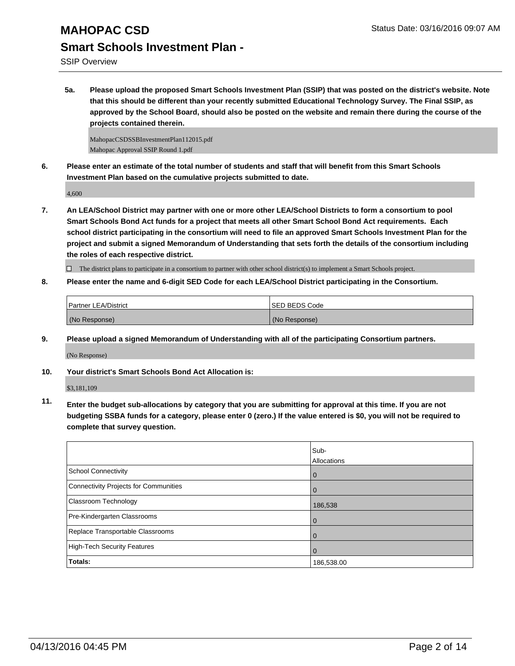SSIP Overview

**5a. Please upload the proposed Smart Schools Investment Plan (SSIP) that was posted on the district's website. Note that this should be different than your recently submitted Educational Technology Survey. The Final SSIP, as approved by the School Board, should also be posted on the website and remain there during the course of the projects contained therein.**

MahopacCSDSSBInvestmentPlan112015.pdf Mahopac Approval SSIP Round 1.pdf

**6. Please enter an estimate of the total number of students and staff that will benefit from this Smart Schools Investment Plan based on the cumulative projects submitted to date.**

4,600

**7. An LEA/School District may partner with one or more other LEA/School Districts to form a consortium to pool Smart Schools Bond Act funds for a project that meets all other Smart School Bond Act requirements. Each school district participating in the consortium will need to file an approved Smart Schools Investment Plan for the project and submit a signed Memorandum of Understanding that sets forth the details of the consortium including the roles of each respective district.**

 $\Box$  The district plans to participate in a consortium to partner with other school district(s) to implement a Smart Schools project.

**8. Please enter the name and 6-digit SED Code for each LEA/School District participating in the Consortium.**

| <b>Partner LEA/District</b> | <b>ISED BEDS Code</b> |
|-----------------------------|-----------------------|
| (No Response)               | (No Response)         |

**9. Please upload a signed Memorandum of Understanding with all of the participating Consortium partners.**

(No Response)

**10. Your district's Smart Schools Bond Act Allocation is:**

\$3,181,109

**11. Enter the budget sub-allocations by category that you are submitting for approval at this time. If you are not budgeting SSBA funds for a category, please enter 0 (zero.) If the value entered is \$0, you will not be required to complete that survey question.**

|                                       | Sub-<br>Allocations |
|---------------------------------------|---------------------|
| School Connectivity                   | $\mathbf 0$         |
| Connectivity Projects for Communities |                     |
| <b>Classroom Technology</b>           | 186,538             |
| Pre-Kindergarten Classrooms           |                     |
| Replace Transportable Classrooms      | O                   |
| High-Tech Security Features           |                     |
| Totals:                               | 186,538.00          |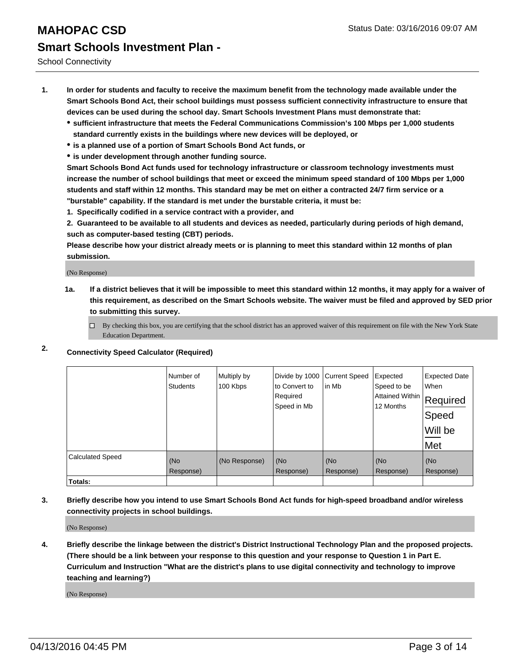School Connectivity

- **1. In order for students and faculty to receive the maximum benefit from the technology made available under the Smart Schools Bond Act, their school buildings must possess sufficient connectivity infrastructure to ensure that devices can be used during the school day. Smart Schools Investment Plans must demonstrate that:**
	- **sufficient infrastructure that meets the Federal Communications Commission's 100 Mbps per 1,000 students standard currently exists in the buildings where new devices will be deployed, or**
	- **is a planned use of a portion of Smart Schools Bond Act funds, or**
	- **is under development through another funding source.**

**Smart Schools Bond Act funds used for technology infrastructure or classroom technology investments must increase the number of school buildings that meet or exceed the minimum speed standard of 100 Mbps per 1,000 students and staff within 12 months. This standard may be met on either a contracted 24/7 firm service or a "burstable" capability. If the standard is met under the burstable criteria, it must be:**

**1. Specifically codified in a service contract with a provider, and**

**2. Guaranteed to be available to all students and devices as needed, particularly during periods of high demand, such as computer-based testing (CBT) periods.**

**Please describe how your district already meets or is planning to meet this standard within 12 months of plan submission.**

(No Response)

- **1a. If a district believes that it will be impossible to meet this standard within 12 months, it may apply for a waiver of this requirement, as described on the Smart Schools website. The waiver must be filed and approved by SED prior to submitting this survey.**
	- □ By checking this box, you are certifying that the school district has an approved waiver of this requirement on file with the New York State Education Department.
- **2. Connectivity Speed Calculator (Required)**

|                         | Number of<br><b>Students</b> | Multiply by<br>100 Kbps | Divide by 1000<br>to Convert to<br>Required<br>Speed in Mb | <b>Current Speed</b><br>in Mb | Expected<br>Speed to be<br>Attained Within<br>12 Months | <b>Expected Date</b><br>When<br>Required<br>Speed<br>Will be<br>Met |
|-------------------------|------------------------------|-------------------------|------------------------------------------------------------|-------------------------------|---------------------------------------------------------|---------------------------------------------------------------------|
| <b>Calculated Speed</b> | (No<br>Response)             | (No Response)           | (No<br>Response)                                           | (No<br>Response)              | (No<br>Response)                                        | (No<br>Response)                                                    |
| Totals:                 |                              |                         |                                                            |                               |                                                         |                                                                     |

**3. Briefly describe how you intend to use Smart Schools Bond Act funds for high-speed broadband and/or wireless connectivity projects in school buildings.**

(No Response)

**4. Briefly describe the linkage between the district's District Instructional Technology Plan and the proposed projects. (There should be a link between your response to this question and your response to Question 1 in Part E. Curriculum and Instruction "What are the district's plans to use digital connectivity and technology to improve teaching and learning?)**

(No Response)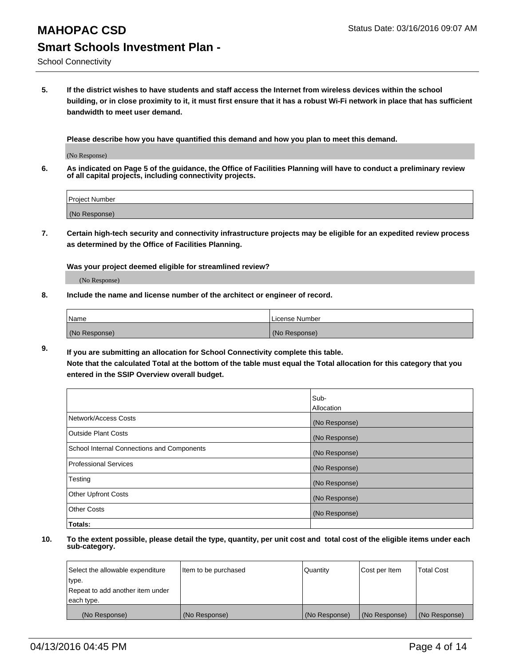School Connectivity

**5. If the district wishes to have students and staff access the Internet from wireless devices within the school building, or in close proximity to it, it must first ensure that it has a robust Wi-Fi network in place that has sufficient bandwidth to meet user demand.**

**Please describe how you have quantified this demand and how you plan to meet this demand.**

(No Response)

**6. As indicated on Page 5 of the guidance, the Office of Facilities Planning will have to conduct a preliminary review of all capital projects, including connectivity projects.**

| <b>Project Number</b> |  |
|-----------------------|--|
| (No Response)         |  |

**7. Certain high-tech security and connectivity infrastructure projects may be eligible for an expedited review process as determined by the Office of Facilities Planning.**

**Was your project deemed eligible for streamlined review?**

(No Response)

**8. Include the name and license number of the architect or engineer of record.**

| Name          | License Number |
|---------------|----------------|
| (No Response) | (No Response)  |

**9. If you are submitting an allocation for School Connectivity complete this table. Note that the calculated Total at the bottom of the table must equal the Total allocation for this category that you entered in the SSIP Overview overall budget.** 

|                                            | Sub-          |
|--------------------------------------------|---------------|
|                                            | Allocation    |
| Network/Access Costs                       | (No Response) |
| <b>Outside Plant Costs</b>                 | (No Response) |
| School Internal Connections and Components | (No Response) |
| <b>Professional Services</b>               | (No Response) |
| Testing                                    | (No Response) |
| <b>Other Upfront Costs</b>                 | (No Response) |
| <b>Other Costs</b>                         | (No Response) |
| Totals:                                    |               |

| Select the allowable expenditure | Item to be purchased | Quantity      | Cost per Item | <b>Total Cost</b> |
|----------------------------------|----------------------|---------------|---------------|-------------------|
| type.                            |                      |               |               |                   |
| Repeat to add another item under |                      |               |               |                   |
| each type.                       |                      |               |               |                   |
| (No Response)                    | (No Response)        | (No Response) | (No Response) | (No Response)     |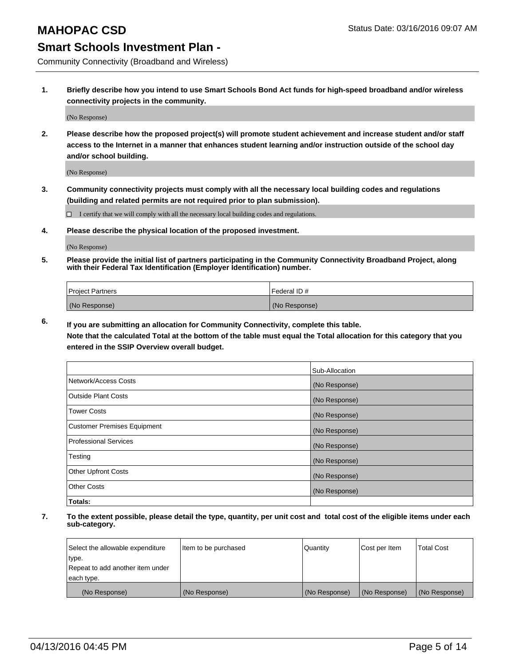Community Connectivity (Broadband and Wireless)

**1. Briefly describe how you intend to use Smart Schools Bond Act funds for high-speed broadband and/or wireless connectivity projects in the community.**

(No Response)

**2. Please describe how the proposed project(s) will promote student achievement and increase student and/or staff access to the Internet in a manner that enhances student learning and/or instruction outside of the school day and/or school building.**

(No Response)

**3. Community connectivity projects must comply with all the necessary local building codes and regulations (building and related permits are not required prior to plan submission).**

 $\Box$  I certify that we will comply with all the necessary local building codes and regulations.

**4. Please describe the physical location of the proposed investment.**

(No Response)

**5. Please provide the initial list of partners participating in the Community Connectivity Broadband Project, along with their Federal Tax Identification (Employer Identification) number.**

| <b>Project Partners</b> | <b>IFederal ID#</b> |
|-------------------------|---------------------|
| (No Response)           | (No Response)       |

**6. If you are submitting an allocation for Community Connectivity, complete this table.**

**Note that the calculated Total at the bottom of the table must equal the Total allocation for this category that you entered in the SSIP Overview overall budget.**

|                                    | Sub-Allocation |
|------------------------------------|----------------|
| Network/Access Costs               | (No Response)  |
| Outside Plant Costs                | (No Response)  |
| <b>Tower Costs</b>                 | (No Response)  |
| <b>Customer Premises Equipment</b> | (No Response)  |
| Professional Services              | (No Response)  |
| Testing                            | (No Response)  |
| <b>Other Upfront Costs</b>         | (No Response)  |
| Other Costs                        | (No Response)  |
| Totals:                            |                |

| Select the allowable expenditure | litem to be purchased | Quantity      | Cost per Item | <b>Total Cost</b> |
|----------------------------------|-----------------------|---------------|---------------|-------------------|
| type.                            |                       |               |               |                   |
| Repeat to add another item under |                       |               |               |                   |
| each type.                       |                       |               |               |                   |
| (No Response)                    | (No Response)         | (No Response) | (No Response) | (No Response)     |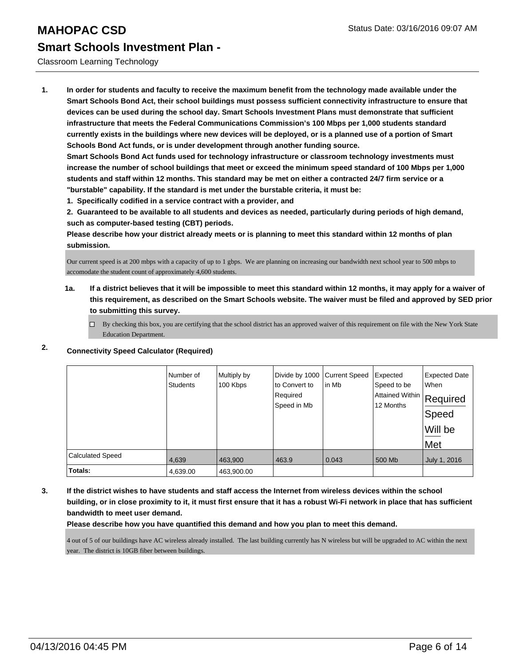#### Classroom Learning Technology

**1. In order for students and faculty to receive the maximum benefit from the technology made available under the Smart Schools Bond Act, their school buildings must possess sufficient connectivity infrastructure to ensure that devices can be used during the school day. Smart Schools Investment Plans must demonstrate that sufficient infrastructure that meets the Federal Communications Commission's 100 Mbps per 1,000 students standard currently exists in the buildings where new devices will be deployed, or is a planned use of a portion of Smart Schools Bond Act funds, or is under development through another funding source.**

**Smart Schools Bond Act funds used for technology infrastructure or classroom technology investments must increase the number of school buildings that meet or exceed the minimum speed standard of 100 Mbps per 1,000 students and staff within 12 months. This standard may be met on either a contracted 24/7 firm service or a "burstable" capability. If the standard is met under the burstable criteria, it must be:**

**1. Specifically codified in a service contract with a provider, and**

**2. Guaranteed to be available to all students and devices as needed, particularly during periods of high demand, such as computer-based testing (CBT) periods.**

**Please describe how your district already meets or is planning to meet this standard within 12 months of plan submission.**

Our current speed is at 200 mbps with a capacity of up to 1 gbps. We are planning on increasing our bandwidth next school year to 500 mbps to accomodate the student count of approximately 4,600 students.

- **1a. If a district believes that it will be impossible to meet this standard within 12 months, it may apply for a waiver of this requirement, as described on the Smart Schools website. The waiver must be filed and approved by SED prior to submitting this survey.**
	- $\Box$  By checking this box, you are certifying that the school district has an approved waiver of this requirement on file with the New York State Education Department.

|                         | Number of<br><b>Students</b> | Multiply by<br>100 Kbps | Divide by 1000 Current Speed<br>to Convert to<br>Required<br>Speed in Mb | lin Mb | Expected<br>Speed to be<br>Attained Within Required<br>12 Months | <b>Expected Date</b><br>When<br> Speed<br>Will be<br>Met |
|-------------------------|------------------------------|-------------------------|--------------------------------------------------------------------------|--------|------------------------------------------------------------------|----------------------------------------------------------|
| <b>Calculated Speed</b> | 4,639                        | 463,900                 | 463.9                                                                    | 0.043  | 500 Mb                                                           | July 1, 2016                                             |
| Totals:                 | 4,639.00                     | 463,900.00              |                                                                          |        |                                                                  |                                                          |

#### **2. Connectivity Speed Calculator (Required)**

**3. If the district wishes to have students and staff access the Internet from wireless devices within the school building, or in close proximity to it, it must first ensure that it has a robust Wi-Fi network in place that has sufficient bandwidth to meet user demand.**

#### **Please describe how you have quantified this demand and how you plan to meet this demand.**

4 out of 5 of our buildings have AC wireless already installed. The last building currently has N wireless but will be upgraded to AC within the next year. The district is 10GB fiber between buildings.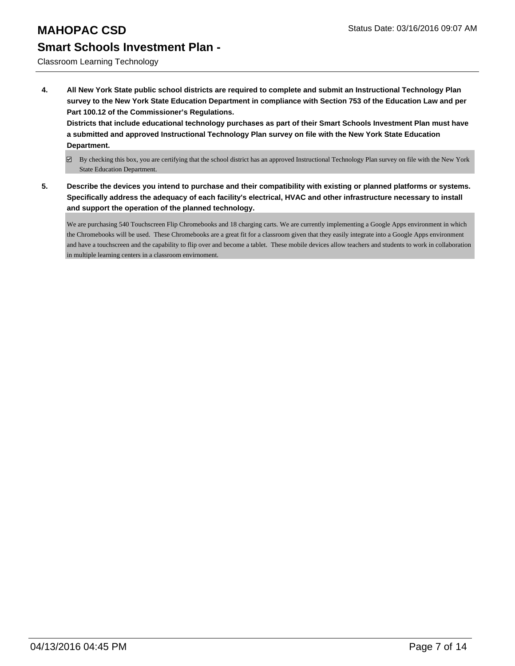Classroom Learning Technology

**4. All New York State public school districts are required to complete and submit an Instructional Technology Plan survey to the New York State Education Department in compliance with Section 753 of the Education Law and per Part 100.12 of the Commissioner's Regulations.**

**Districts that include educational technology purchases as part of their Smart Schools Investment Plan must have a submitted and approved Instructional Technology Plan survey on file with the New York State Education Department.**

- By checking this box, you are certifying that the school district has an approved Instructional Technology Plan survey on file with the New York State Education Department.
- **5. Describe the devices you intend to purchase and their compatibility with existing or planned platforms or systems. Specifically address the adequacy of each facility's electrical, HVAC and other infrastructure necessary to install and support the operation of the planned technology.**

We are purchasing 540 Touchscreen Flip Chromebooks and 18 charging carts. We are currently implementing a Google Apps environment in which the Chromebooks will be used. These Chromebooks are a great fit for a classroom given that they easily integrate into a Google Apps environment and have a touchscreen and the capability to flip over and become a tablet. These mobile devices allow teachers and students to work in collaboration in multiple learning centers in a classroom envirnoment.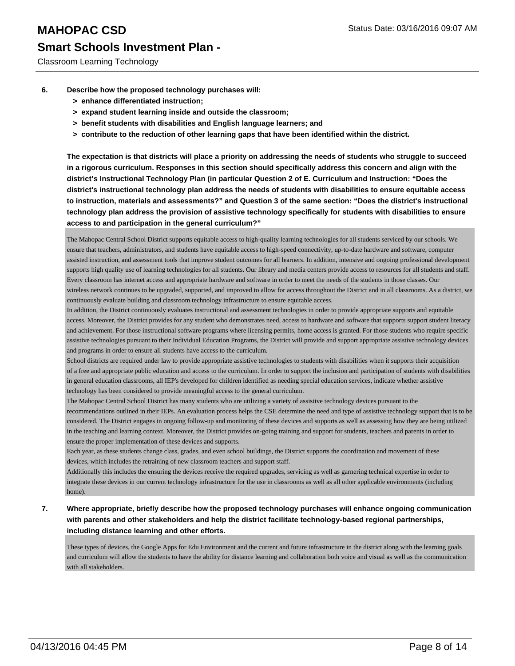Classroom Learning Technology

- **6. Describe how the proposed technology purchases will:**
	- **> enhance differentiated instruction;**
	- **> expand student learning inside and outside the classroom;**
	- **> benefit students with disabilities and English language learners; and**
	- **> contribute to the reduction of other learning gaps that have been identified within the district.**

**The expectation is that districts will place a priority on addressing the needs of students who struggle to succeed in a rigorous curriculum. Responses in this section should specifically address this concern and align with the district's Instructional Technology Plan (in particular Question 2 of E. Curriculum and Instruction: "Does the district's instructional technology plan address the needs of students with disabilities to ensure equitable access to instruction, materials and assessments?" and Question 3 of the same section: "Does the district's instructional technology plan address the provision of assistive technology specifically for students with disabilities to ensure access to and participation in the general curriculum?"**

The Mahopac Central School District supports equitable access to high-quality learning technologies for all students serviced by our schools. We ensure that teachers, administrators, and students have equitable access to high-speed connectivity, up-to-date hardware and software, computer assisted instruction, and assessment tools that improve student outcomes for all learners. In addition, intensive and ongoing professional development supports high quality use of learning technologies for all students. Our library and media centers provide access to resources for all students and staff. Every classroom has internet access and appropriate hardware and software in order to meet the needs of the students in those classes. Our wireless network continues to be upgraded, supported, and improved to allow for access throughout the District and in all classrooms. As a district, we continuously evaluate building and classroom technology infrastructure to ensure equitable access.

In addition, the District continuously evaluates instructional and assessment technologies in order to provide appropriate supports and equitable access. Moreover, the District provides for any student who demonstrates need, access to hardware and software that supports support student literacy and achievement. For those instructional software programs where licensing permits, home access is granted. For those students who require specific assistive technologies pursuant to their Individual Education Programs, the District will provide and support appropriate assistive technology devices and programs in order to ensure all students have access to the curriculum.

School districts are required under law to provide appropriate assistive technologies to students with disabilities when it supports their acquisition of a free and appropriate public education and access to the curriculum. In order to support the inclusion and participation of students with disabilities in general education classrooms, all IEP's developed for children identified as needing special education services, indicate whether assistive technology has been considered to provide meaningful access to the general curriculum.

The Mahopac Central School District has many students who are utilizing a variety of assistive technology devices pursuant to the recommendations outlined in their IEPs. An evaluation process helps the CSE determine the need and type of assistive technology support that is to be considered. The District engages in ongoing follow-up and monitoring of these devices and supports as well as assessing how they are being utilized in the teaching and learning context. Moreover, the District provides on-going training and support for students, teachers and parents in order to ensure the proper implementation of these devices and supports.

Each year, as these students change class, grades, and even school buildings, the District supports the coordination and movement of these devices, which includes the retraining of new classroom teachers and support staff.

Additionally this includes the ensuring the devices receive the required upgrades, servicing as well as garnering technical expertise in order to integrate these devices in our current technology infrastructure for the use in classrooms as well as all other applicable environments (including home).

**7. Where appropriate, briefly describe how the proposed technology purchases will enhance ongoing communication with parents and other stakeholders and help the district facilitate technology-based regional partnerships, including distance learning and other efforts.**

These types of devices, the Google Apps for Edu Environment and the current and future infrastructure in the district along with the learning goals and curriculum will allow the students to have the ability for distance learning and collaboration both voice and visual as well as the communication with all stakeholders.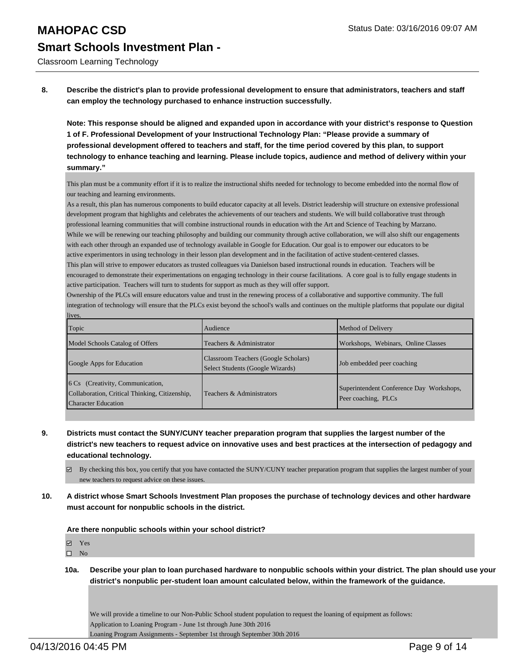Classroom Learning Technology

**8. Describe the district's plan to provide professional development to ensure that administrators, teachers and staff can employ the technology purchased to enhance instruction successfully.**

**Note: This response should be aligned and expanded upon in accordance with your district's response to Question 1 of F. Professional Development of your Instructional Technology Plan: "Please provide a summary of professional development offered to teachers and staff, for the time period covered by this plan, to support technology to enhance teaching and learning. Please include topics, audience and method of delivery within your summary."**

This plan must be a community effort if it is to realize the instructional shifts needed for technology to become embedded into the normal flow of our teaching and learning environments.

As a result, this plan has numerous components to build educator capacity at all levels. District leadership will structure on extensive professional development program that highlights and celebrates the achievements of our teachers and students. We will build collaborative trust through professional learning communities that will combine instructional rounds in education with the Art and Science of Teaching by Marzano. While we will be renewing our teaching philosophy and building our community through active collaboration, we will also shift our engagements with each other through an expanded use of technology available in Google for Education. Our goal is to empower our educators to be active experimentors in using technology in their lesson plan development and in the facilitation of active student-centered classes. This plan will strive to empower educators as trusted colleagues via Danielson based instructional rounds in education. Teachers will be encouraged to demonstrate their experimentations on engaging technology in their course facilitations. A core goal is to fully engage students in

active participation. Teachers will turn to students for support as much as they will offer support.

Ownership of the PLCs will ensure educators value and trust in the renewing process of a collaborative and supportive community. The full integration of technology will ensure that the PLCs exist beyond the school's walls and continues on the multiple platforms that populate our digital lives.

| Topic                                                                                                             | Audience                                                                 | Method of Delivery                                              |
|-------------------------------------------------------------------------------------------------------------------|--------------------------------------------------------------------------|-----------------------------------------------------------------|
| Model Schools Catalog of Offers                                                                                   | Teachers & Administrator                                                 | Workshops, Webinars, Online Classes                             |
| Google Apps for Education                                                                                         | Classroom Teachers (Google Scholars)<br>Select Students (Google Wizards) | Job embedded peer coaching                                      |
| [6 Cs (Creativity, Communication,<br>Collaboration, Critical Thinking, Citizenship,<br><b>Character Education</b> | Teachers & Administrators                                                | Superintendent Conference Day Workshops,<br>Peer coaching, PLCs |

- **9. Districts must contact the SUNY/CUNY teacher preparation program that supplies the largest number of the district's new teachers to request advice on innovative uses and best practices at the intersection of pedagogy and educational technology.**
	- $\boxtimes$  By checking this box, you certify that you have contacted the SUNY/CUNY teacher preparation program that supplies the largest number of your new teachers to request advice on these issues.
- **10. A district whose Smart Schools Investment Plan proposes the purchase of technology devices and other hardware must account for nonpublic schools in the district.**

**Are there nonpublic schools within your school district?**

Yes

 $\square$  No

**10a. Describe your plan to loan purchased hardware to nonpublic schools within your district. The plan should use your district's nonpublic per-student loan amount calculated below, within the framework of the guidance.**

We will provide a timeline to our Non-Public School student population to request the loaning of equipment as follows: Application to Loaning Program - June 1st through June 30th 2016

Loaning Program Assignments - September 1st through September 30th 2016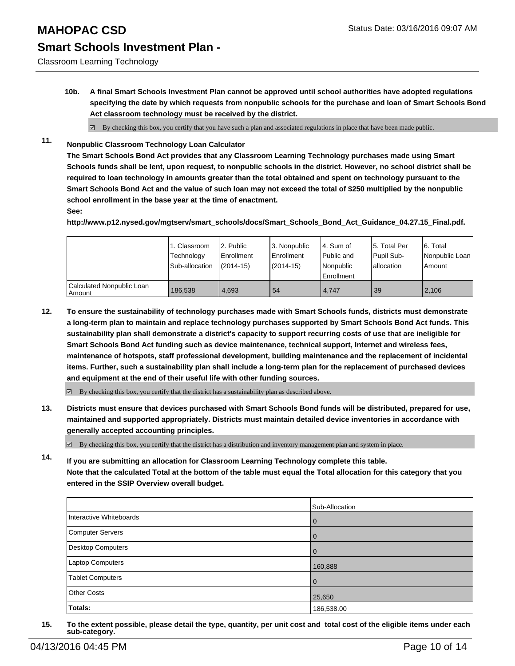#### **MAHOPAC CSD** Status Date: 03/16/2016 09:07 AM

# **Smart Schools Investment Plan -**

Classroom Learning Technology

- **10b. A final Smart Schools Investment Plan cannot be approved until school authorities have adopted regulations specifying the date by which requests from nonpublic schools for the purchase and loan of Smart Schools Bond Act classroom technology must be received by the district.**
	- $\boxtimes$  By checking this box, you certify that you have such a plan and associated regulations in place that have been made public.
- **11. Nonpublic Classroom Technology Loan Calculator**

**The Smart Schools Bond Act provides that any Classroom Learning Technology purchases made using Smart Schools funds shall be lent, upon request, to nonpublic schools in the district. However, no school district shall be required to loan technology in amounts greater than the total obtained and spent on technology pursuant to the Smart Schools Bond Act and the value of such loan may not exceed the total of \$250 multiplied by the nonpublic school enrollment in the base year at the time of enactment.**

**See:**

**http://www.p12.nysed.gov/mgtserv/smart\_schools/docs/Smart\_Schools\_Bond\_Act\_Guidance\_04.27.15\_Final.pdf.**

|                                     | 1. Classroom<br>Technology<br>Sub-allocation | 2. Public<br><b>Enrollment</b><br>$(2014 - 15)$ | 3. Nonpublic<br>Enrollment<br>$(2014 - 15)$ | l 4. Sum of<br>l Public and<br>Nonpublic<br><b>Enrollment</b> | 15. Total Per<br>Pupil Sub-<br>Iallocation | 6. Total<br>Nonpublic Loan<br>Amount |
|-------------------------------------|----------------------------------------------|-------------------------------------------------|---------------------------------------------|---------------------------------------------------------------|--------------------------------------------|--------------------------------------|
| Calculated Nonpublic Loan<br>Amount | 186.538                                      | 4.693                                           | 54                                          | 4.747                                                         | 39                                         | 2,106                                |

**12. To ensure the sustainability of technology purchases made with Smart Schools funds, districts must demonstrate a long-term plan to maintain and replace technology purchases supported by Smart Schools Bond Act funds. This sustainability plan shall demonstrate a district's capacity to support recurring costs of use that are ineligible for Smart Schools Bond Act funding such as device maintenance, technical support, Internet and wireless fees, maintenance of hotspots, staff professional development, building maintenance and the replacement of incidental items. Further, such a sustainability plan shall include a long-term plan for the replacement of purchased devices and equipment at the end of their useful life with other funding sources.**

 $\boxdot$  By checking this box, you certify that the district has a sustainability plan as described above.

**13. Districts must ensure that devices purchased with Smart Schools Bond funds will be distributed, prepared for use, maintained and supported appropriately. Districts must maintain detailed device inventories in accordance with generally accepted accounting principles.**

By checking this box, you certify that the district has a distribution and inventory management plan and system in place.

**14. If you are submitting an allocation for Classroom Learning Technology complete this table. Note that the calculated Total at the bottom of the table must equal the Total allocation for this category that you entered in the SSIP Overview overall budget.**

|                         | Sub-Allocation |
|-------------------------|----------------|
| Interactive Whiteboards | $\overline{0}$ |
| Computer Servers        | 0              |
| Desktop Computers       |                |
| Laptop Computers        | 160,888        |
| <b>Tablet Computers</b> | $\Omega$       |
| <b>Other Costs</b>      | 25,650         |
| Totals:                 | 186,538.00     |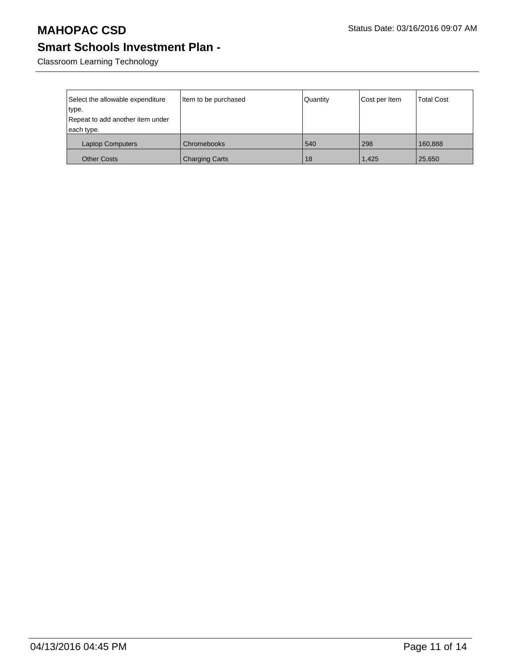Classroom Learning Technology

| Select the allowable expenditure<br>type.<br>Repeat to add another item under<br>each type. | Item to be purchased  | Quantity | Cost per Item | <b>Total Cost</b> |
|---------------------------------------------------------------------------------------------|-----------------------|----------|---------------|-------------------|
| <b>Laptop Computers</b>                                                                     | Chromebooks           | 540      | 298           | 160,888           |
| <b>Other Costs</b>                                                                          | <b>Charging Carts</b> | 18       | 1.425         | 25,650            |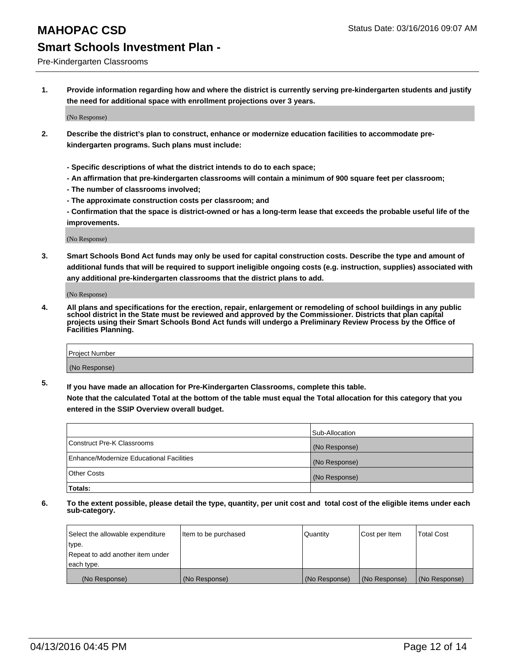## **MAHOPAC CSD** Status Date: 03/16/2016 09:07 AM

#### **Smart Schools Investment Plan -**

Pre-Kindergarten Classrooms

**1. Provide information regarding how and where the district is currently serving pre-kindergarten students and justify the need for additional space with enrollment projections over 3 years.**

(No Response)

- **2. Describe the district's plan to construct, enhance or modernize education facilities to accommodate prekindergarten programs. Such plans must include:**
	- **Specific descriptions of what the district intends to do to each space;**
	- **An affirmation that pre-kindergarten classrooms will contain a minimum of 900 square feet per classroom;**
	- **The number of classrooms involved;**
	- **The approximate construction costs per classroom; and**
	- **Confirmation that the space is district-owned or has a long-term lease that exceeds the probable useful life of the improvements.**

(No Response)

**3. Smart Schools Bond Act funds may only be used for capital construction costs. Describe the type and amount of additional funds that will be required to support ineligible ongoing costs (e.g. instruction, supplies) associated with any additional pre-kindergarten classrooms that the district plans to add.**

(No Response)

**4. All plans and specifications for the erection, repair, enlargement or remodeling of school buildings in any public school district in the State must be reviewed and approved by the Commissioner. Districts that plan capital projects using their Smart Schools Bond Act funds will undergo a Preliminary Review Process by the Office of Facilities Planning.**

| Project Number |  |
|----------------|--|
| (No Response)  |  |

**5. If you have made an allocation for Pre-Kindergarten Classrooms, complete this table. Note that the calculated Total at the bottom of the table must equal the Total allocation for this category that you**

**entered in the SSIP Overview overall budget.**

|                                          | Sub-Allocation |
|------------------------------------------|----------------|
| Construct Pre-K Classrooms               | (No Response)  |
| Enhance/Modernize Educational Facilities | (No Response)  |
| Other Costs                              | (No Response)  |
| Totals:                                  |                |

| Select the allowable expenditure | Item to be purchased | Quantity      | Cost per Item | <b>Total Cost</b> |
|----------------------------------|----------------------|---------------|---------------|-------------------|
| type.                            |                      |               |               |                   |
| Repeat to add another item under |                      |               |               |                   |
| each type.                       |                      |               |               |                   |
| (No Response)                    | (No Response)        | (No Response) | (No Response) | (No Response)     |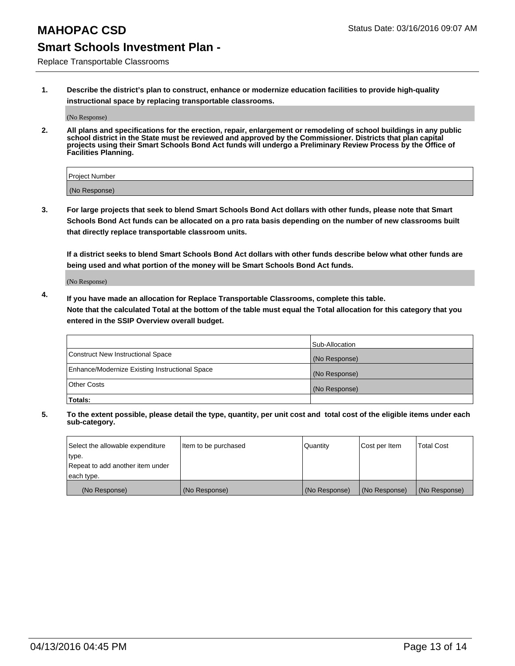Replace Transportable Classrooms

**1. Describe the district's plan to construct, enhance or modernize education facilities to provide high-quality instructional space by replacing transportable classrooms.**

(No Response)

**2. All plans and specifications for the erection, repair, enlargement or remodeling of school buildings in any public school district in the State must be reviewed and approved by the Commissioner. Districts that plan capital projects using their Smart Schools Bond Act funds will undergo a Preliminary Review Process by the Office of Facilities Planning.**

| Project Number |  |
|----------------|--|
| (No Response)  |  |

**3. For large projects that seek to blend Smart Schools Bond Act dollars with other funds, please note that Smart Schools Bond Act funds can be allocated on a pro rata basis depending on the number of new classrooms built that directly replace transportable classroom units.**

**If a district seeks to blend Smart Schools Bond Act dollars with other funds describe below what other funds are being used and what portion of the money will be Smart Schools Bond Act funds.**

(No Response)

**4. If you have made an allocation for Replace Transportable Classrooms, complete this table. Note that the calculated Total at the bottom of the table must equal the Total allocation for this category that you entered in the SSIP Overview overall budget.**

|                                                | Sub-Allocation |
|------------------------------------------------|----------------|
| Construct New Instructional Space              | (No Response)  |
| Enhance/Modernize Existing Instructional Space | (No Response)  |
| <b>Other Costs</b>                             | (No Response)  |
| Totals:                                        |                |

| Select the allowable expenditure | Item to be purchased | <b>Quantity</b> | Cost per Item | <b>Total Cost</b> |
|----------------------------------|----------------------|-----------------|---------------|-------------------|
| type.                            |                      |                 |               |                   |
| Repeat to add another item under |                      |                 |               |                   |
| each type.                       |                      |                 |               |                   |
| (No Response)                    | (No Response)        | (No Response)   | (No Response) | (No Response)     |